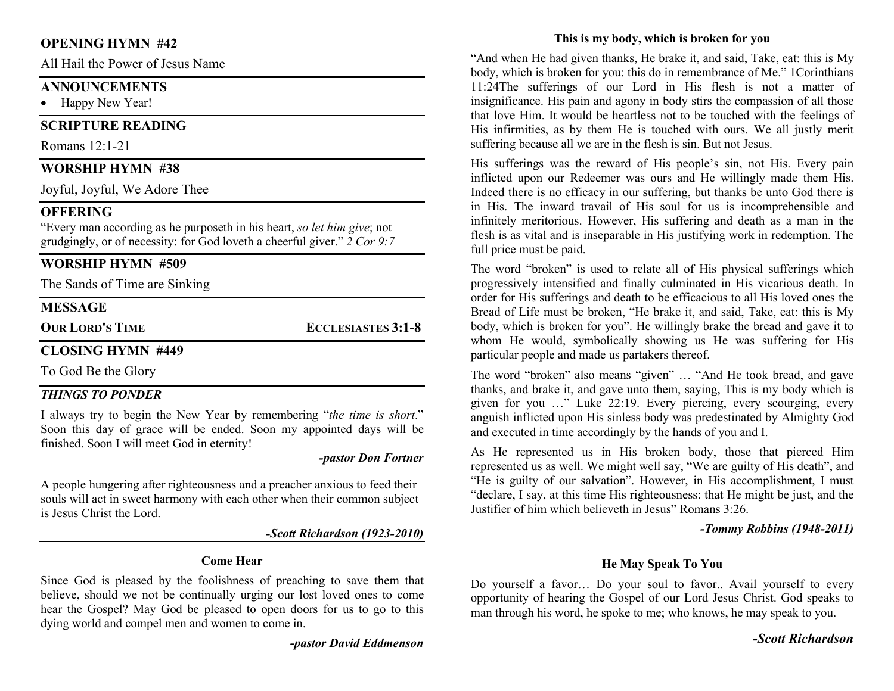## OPENING HYMN #42

All Hail the Power of Jesus Name

## **ANNOUNCEMENTS**

• Happy New Year!

## SCRIPTURE READING

Romans 12:1-21

## WORSHIP HYMN #38

Joyful, Joyful, We Adore Thee

## **OFFERING**

"Every man according as he purposeth in his heart, so let him give; not grudgingly, or of necessity: for God loveth a cheerful giver."  $2$  Cor 9:7

## WORSHIP HYMN #509

The Sands of Time are Sinking

### MESSAGE

OUR LORD'S TIME ECCLESIASTES 3:1-8

## CLOSING HYMN #449

To God Be the Glory

#### THINGS TO PONDER

I always try to begin the New Year by remembering "the time is short." Soon this day of grace will be ended. Soon my appointed days will be finished. Soon I will meet God in eternity!

-pastor Don Fortner

A people hungering after righteousness and a preacher anxious to feed their souls will act in sweet harmony with each other when their common subject is Jesus Christ the Lord.

-Scott Richardson (1923-2010)

#### Come Hear

Since God is pleased by the foolishness of preaching to save them that believe, should we not be continually urging our lost loved ones to come hear the Gospel? May God be pleased to open doors for us to go to this dying world and compel men and women to come in.

-pastor David Eddmenson

## This is my body, which is broken for you

"And when He had given thanks, He brake it, and said, Take, eat: this is My body, which is broken for you: this do in remembrance of Me." 1Corinthians 11:24The sufferings of our Lord in His flesh is not a matter of insignificance. His pain and agony in body stirs the compassion of all those that love Him. It would be heartless not to be touched with the feelings of His infirmities, as by them He is touched with ours. We all justly merit suffering because all we are in the flesh is sin. But not Jesus.

His sufferings was the reward of His people's sin, not His. Every pain inflicted upon our Redeemer was ours and He willingly made them His. Indeed there is no efficacy in our suffering, but thanks be unto God there is in His. The inward travail of His soul for us is incomprehensible and infinitely meritorious. However, His suffering and death as a man in the flesh is as vital and is inseparable in His justifying work in redemption. The full price must be paid.

The word "broken" is used to relate all of His physical sufferings which progressively intensified and finally culminated in His vicarious death. In order for His sufferings and death to be efficacious to all His loved ones the Bread of Life must be broken, "He brake it, and said, Take, eat: this is My body, which is broken for you". He willingly brake the bread and gave it to whom He would, symbolically showing us He was suffering for His particular people and made us partakers thereof.

The word "broken" also means "given" … "And He took bread, and gave thanks, and brake it, and gave unto them, saying, This is my body which is given for you …" Luke 22:19. Every piercing, every scourging, every anguish inflicted upon His sinless body was predestinated by Almighty God and executed in time accordingly by the hands of you and I.

As He represented us in His broken body, those that pierced Him represented us as well. We might well say, "We are guilty of His death", and "He is guilty of our salvation". However, in His accomplishment, I must "declare, I say, at this time His righteousness: that He might be just, and the Justifier of him which believeth in Jesus" Romans 3:26.

-Tommy Robbins (1948-2011)

## He May Speak To You

Do yourself a favor… Do your soul to favor.. Avail yourself to every opportunity of hearing the Gospel of our Lord Jesus Christ. God speaks to man through his word, he spoke to me; who knows, he may speak to you.

-Scott Richardson